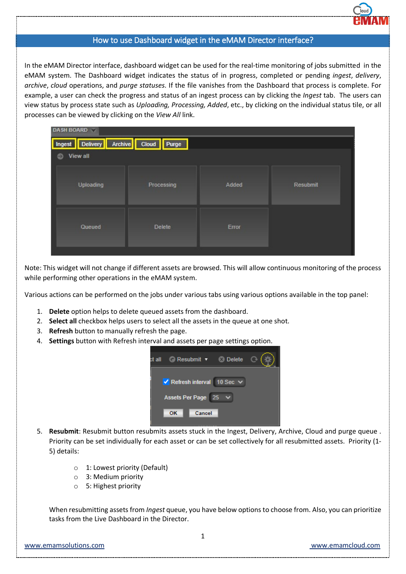

## How to use Dashboard widget in the eMAM Director interface?

In the eMAM Director interface, dashboard widget can be used for the real-time monitoring of jobs submitted in the eMAM system. The Dashboard widget indicates the status of in progress, completed or pending *ingest*, *delivery*, *archive*, *cloud* operations, and *purge statuses*. If the file vanishes from the Dashboard that process is complete. For example, a user can check the progress and status of an ingest process can by clicking the *Ingest* tab. The users can view status by process state such as *Uploading, Processing, Added*, etc., by clicking on the individual status tile, or all processes can be viewed by clicking on the *View All* link.

| <b>DASH BOARD</b>                   |               |       |          |  |  |  |  |  |
|-------------------------------------|---------------|-------|----------|--|--|--|--|--|
| Ingest Delivery Archive Cloud Purge |               |       |          |  |  |  |  |  |
| <b>View all</b><br>Θ                |               |       |          |  |  |  |  |  |
| Uploading                           | Processing    | Added | Resubmit |  |  |  |  |  |
| Queued                              | <b>Delete</b> | Error |          |  |  |  |  |  |

Note: This widget will not change if different assets are browsed. This will allow continuous monitoring of the process while performing other operations in the eMAM system.

Various actions can be performed on the jobs under various tabs using various options available in the top panel:

- 1. **Delete** option helps to delete queued assets from the dashboard.
- 2. **Select all** checkbox helps users to select all the assets in the queue at one shot.
- 3. **Refresh** button to manually refresh the page.
- 4. **Settings** button with Refresh interval and assets per page settings option.



- 5. **Resubmit**: Resubmit button resubmits assets stuck in the Ingest, Delivery, Archive, Cloud and purge queue . Priority can be set individually for each asset or can be set collectively for all resubmitted assets. Priority (1- 5) details:
	- o 1: Lowest priority (Default)
	- o 3: Medium priority
	- o 5: Highest priority

When resubmitting assets from *Ingest* queue, you have below options to choose from. Also, you can prioritize tasks from the Live Dashboard in the Director.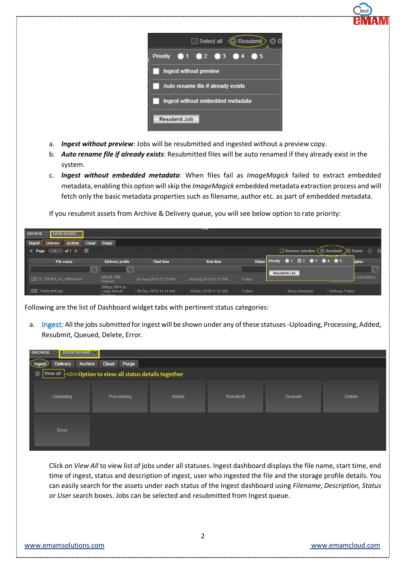

- a. *Ingest without preview*: Jobs will be resubmitted and ingested without a preview copy.
- b. *Auto rename file if already exists*: Resubmitted files will be auto renamed if they already exist in the system.
- c. *Ingest without embedded metadata*: When files fail as *ImageMagick* failed to extract embedded metadata, enabling this option will skip the *ImageMagick* embedded metadata extraction process and will fetch only the basic metadata properties such as filename, author etc. as part of embedded metadata.

If you resubmit assets from Archive & Delivery queue, you will see below option to rate priority:

| DASH BOARD<br><b>BROWSE</b>                                 |                                           |                      |                      |        |                                |                                               |
|-------------------------------------------------------------|-------------------------------------------|----------------------|----------------------|--------|--------------------------------|-----------------------------------------------|
| Archive<br><b>Cloud</b><br><b>Delivery</b><br><b>Ingest</b> | Purge                                     |                      |                      |        |                                |                                               |
| of $1 \rightarrow \cdots$<br>Page<br>$\blacksquare$         |                                           |                      |                      |        | Remove selection ( Resubmit    | $)$ Delete $\odot$ is                         |
| File name                                                   | Delivery profile                          | <b>Start time</b>    | <b>End time</b>      |        | Status Priority 01 02 03 04 05 | iption                                        |
| Q                                                           | $\Omega$                                  |                      |                      |        | Resubmit Job                   |                                               |
| H_190404_no_offset.mp4                                      | eMAM XML<br><b>Delivery</b>               | 08-Aug-2019 07:55 PM | 08-Aug-2019 07:57 PM | Failed |                                | h is Invalid or<br><b>ILIGURACIO DI MILIO</b> |
| $\equiv \sqrt{2}$ Trump test ipg                            | 8Mbps MP4 for<br>Large format<br>Dienlave | 10-Dec-2019 11:41 AM | 10-Dec-2019 11:42 AM | Failed | <b>Rincy Abraham</b>           | <b>Delivery Failed</b>                        |

Following are the list of Dashboard widget tabs with pertinent status categories:

a. Ingest: All the jobs submitted for ingest will be shown under any of these statuses -Uploading, Processing, Added, Resubmit, Queued, Delete, Error.

| DASH BOARD<br><b>BROWSE</b>                |                     |       |          |        |         |  |  |  |
|--------------------------------------------|---------------------|-------|----------|--------|---------|--|--|--|
| <b>Delivery</b><br>Ingest                  | Archive Cloud Purge |       |          |        |         |  |  |  |
| Option to view all status details together |                     |       |          |        |         |  |  |  |
| Uploading                                  | Processing          | Added | Resubmit | Queued | Delete. |  |  |  |
| Error                                      |                     |       |          |        |         |  |  |  |

Click on *View All* to view list of jobs under all statuses. Ingest dashboard displays the file name, start time, end time of ingest, status and description of ingest, user who ingested the file and the storage profile details. You can easily search for the assets under each status of the Ingest dashboard using *Filename, Description, Status or User* search boxes. Jobs can be selected and resubmitted from Ingest queue.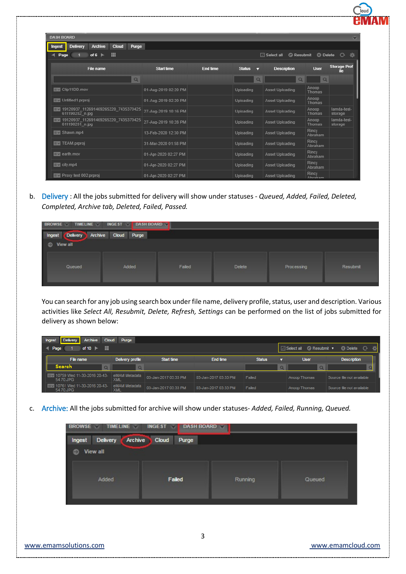| <b>Delivery</b><br><b>Archive</b><br><b>Cloud</b><br>Ingest<br>噩<br>of $6 \rightharpoonup$<br>Page | Purge                |                 |                    | $\Box$ Select all<br><b>C</b> Resubmit | <b>3</b> Delete        | ₩<br>$\mathcal{O}$         |
|----------------------------------------------------------------------------------------------------|----------------------|-----------------|--------------------|----------------------------------------|------------------------|----------------------------|
| File name                                                                                          | <b>Start time</b>    | <b>End time</b> | <b>Status</b><br>⊽ | <b>Description</b>                     | <b>User</b>            | <b>Storage Prof</b><br>ile |
|                                                                                                    | $\alpha$             |                 | $\alpha$           | Q                                      | Q                      |                            |
| <b>EV</b> Clip11DD.mov                                                                             | 01-Aug-2019 02:20 PM |                 | Uploading          | Asset Uploading                        | Anoop<br><b>Thomas</b> |                            |
| Untitled1.prproj                                                                                   | 01-Aug-2019 02:20 PM |                 | Uploading          | Asset Uploading                        | Anoop<br>Thomas        |                            |
| 19120937 112691469265220 7435370425<br>611190282 n.jpg                                             | 27-Aug-2019 10:16 PM |                 | Uploading          | Asset Uploading                        | Anoop<br>Thomas        | lamda-test-<br>storage     |
| 19120937_112691469265220_7435370425<br>611190281_n.jpg                                             | 27-Aug-2019 10:28 PM |                 | Uploading          | Asset Uploading                        | Anoop<br>Thomas        | lamda-test-<br>storage     |
| $\equiv \vee$ Shawn.mp4                                                                            | 13-Feb-2020 12:30 PM |                 | Uploading          | Asset Uploading                        | Rincy<br>Abraham       |                            |
| $\equiv$ $\vee$ TEAM.prproj                                                                        | 31-Mar-2020 01:58 PM |                 | Uploading          | Asset Uploading                        | Rincy<br>Abraham       |                            |
| $\equiv$ $\vee$ earth.mov                                                                          | 01-Apr-2020 02:27 PM |                 | Uploading          | Asset Uploading                        | Rincy<br>Abraham       |                            |
| $\equiv$ v city.mp4                                                                                | 01-Apr-2020 02:27 PM |                 | Uploading          | Asset Uploading                        | Rincy<br>Abraham       |                            |
| $\equiv$ Proxy test 002.prproj                                                                     | 01-Apr-2020 02:27 PM |                 | Uploading          | Asset Uploading                        | Rincy<br>Ahraham       |                            |

b. Delivery : All the jobs submitted for delivery will show under statuses - *Queued, Added, Failed, Deleted, Completed, Archive tab, Deleted, Failed, Passed.*

| <b>INGEST</b><br>BROWSE TIMELINE<br><b>DASH BOARD</b>              |       |        |               |            |          |  |  |  |
|--------------------------------------------------------------------|-------|--------|---------------|------------|----------|--|--|--|
| Cloud<br>Delivery Archive<br>Purge<br>Ingest<br>$\bullet$ View all |       |        |               |            |          |  |  |  |
|                                                                    |       |        |               |            |          |  |  |  |
| Queued                                                             | Added | Failed | <b>Delete</b> | Processing | Resubmit |  |  |  |
|                                                                    |       |        |               |            |          |  |  |  |

You can search for any job using search box under file name, delivery profile, status, user and description. Various activities like *Select All, Resubmit, Delete, Refresh, Settings* can be performed on the list of jobs submitted for delivery as shown below:

| <b>Delivery</b><br><b>Archive</b><br><b>Cloud</b><br>Purge<br>Ingest<br>m<br>$\bullet$ Resubmit $\bullet$<br><b>O</b> Delete <b>C</b><br><b>SOF</b><br>$\Box$ Select all<br>of 10<br>$\blacksquare$ Page |                      |                      |                      |                    |              |                           |  |  |
|----------------------------------------------------------------------------------------------------------------------------------------------------------------------------------------------------------|----------------------|----------------------|----------------------|--------------------|--------------|---------------------------|--|--|
| File name                                                                                                                                                                                                | Delivery profile     | <b>Start time</b>    | End time             | <b>Status</b><br>▭ | <b>User</b>  | <b>Description</b>        |  |  |
| Search<br><b>O</b>                                                                                                                                                                                       | $\Omega$             |                      |                      |                    | $\alpha$     |                           |  |  |
| EM 10759 Wed 11-30-2016 20-43-<br>54.70.JPG                                                                                                                                                              | eMAM Metadata<br>XML | 03-Jan-2017 03:33 PM | 03-Jan-2017 03:33 PM | Failed             | Anoop Thomas | Source file not available |  |  |
| 10761 Wed 11-30-2016 20-43-<br>54.70.JPG                                                                                                                                                                 | eMAM Metadata<br>XML | 03-Jan-2017 03:33 PM | 03-Jan-2017 03:33 PM | Failed             | Anoop Thomas | Source file not available |  |  |

c. Archive: All the jobs submitted for archive will show under statuses- *Added, Failed, Running, Queued.*

| <b>BROWSE</b><br>DASH BOARD<br><b>TIMELINE</b><br><b>INGEST</b> |                |         |        |  |  |  |  |  |
|-----------------------------------------------------------------|----------------|---------|--------|--|--|--|--|--|
| ı<br><b>Archive</b><br><b>Delivery</b><br>Ingest                | Cloud<br>Purge |         |        |  |  |  |  |  |
| View all                                                        |                |         |        |  |  |  |  |  |
|                                                                 |                |         |        |  |  |  |  |  |
| Added                                                           | Failed         | Running | Queued |  |  |  |  |  |
|                                                                 |                |         |        |  |  |  |  |  |
|                                                                 |                |         |        |  |  |  |  |  |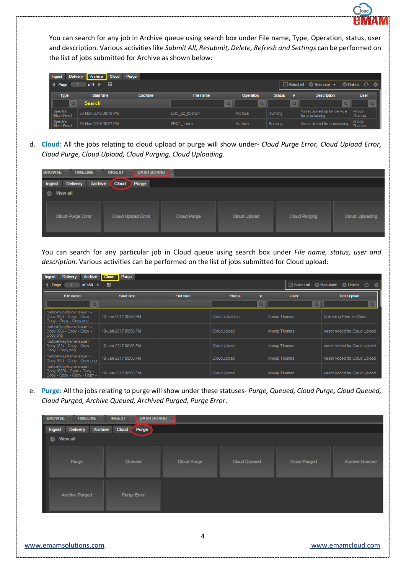

You can search for any job in Archive queue using search box under File name, Type, Operation, status, user and description. Various activities like *Submit All, Resubmit, Delete, Refresh and Settings* can be performed on the list of jobs submitted for Archive as shown below:

| <b>Delivery</b><br>Ingest    | Archive<br><b>Cloud</b> | Purge    |               |           |                    |                                              |                        |
|------------------------------|-------------------------|----------|---------------|-----------|--------------------|----------------------------------------------|------------------------|
| Page                         | 靈<br>of 1               |          |               |           | $\Box$ Select all  | $\bigcirc$ Resubmit $\blacktriangledown$     | <b>O</b> Delete C<br>楽 |
| <b>Type</b>                  | <b>Start time</b>       | End time | File name     | Operation | <b>Status</b><br>▭ | <b>Description</b>                           | <b>User</b>            |
| $\circ$                      | Search                  |          | $\alpha$      | Q         | $\Omega$           | $\Omega$                                     |                        |
| Spectra<br><b>BlackPearl</b> | 30-Nov-2016 08:18 PM    |          | LOC 02 03.mp4 | Archive   | Running            | Asset picked up by service<br>for processing | Anoop<br>Thomas        |
| Spectra<br><b>BlackPearl</b> | 30-Nov-2016 08:22 PM    |          | SEQ1 1.mov    | Archive   | Running            | Asset picked for processing                  | Anoop<br>Thomas        |

d. **Cloud**: All the jobs relating to cloud upload or purge will show under- *Cloud Purge Error, Cloud Upload Error, Cloud Purge, Cloud Upload, Cloud Purging, Cloud Uploading.*

| <b>TIMELINE</b><br><b>BROWSE</b><br><b>INGEST</b><br><b>DASH BOARD</b> |                    |             |              |               |                 |  |  |  |
|------------------------------------------------------------------------|--------------------|-------------|--------------|---------------|-----------------|--|--|--|
| Archive<br>Delivery<br>Ingest                                          | Cloud ]<br>Purge   |             |              |               |                 |  |  |  |
| View all<br>$\circ$                                                    |                    |             |              |               |                 |  |  |  |
|                                                                        |                    |             |              |               |                 |  |  |  |
| Cloud Purge Error                                                      | Cloud Upload Error | Cloud Purge | Cloud Upload | Cloud Purging | Cloud Uploading |  |  |  |
|                                                                        |                    |             |              |               |                 |  |  |  |
|                                                                        |                    |             |              |               |                 |  |  |  |

You can search for any particular job in Cloud queue using search box under *File name, status, user and description*. Various activities can be performed on the list of jobs submitted for Cloud upload:

| <b>Archive</b><br><b>Delivery</b><br>Ingest                                                       | <b>Cloud</b><br>Purge |                 |                     |              |                              |  |  |  |
|---------------------------------------------------------------------------------------------------|-----------------------|-----------------|---------------------|--------------|------------------------------|--|--|--|
| æ<br>瓷<br>Resubmit & Delete C<br>$\Box$ Select all<br>of $180$ $\blacktriangleright$<br>Page<br>4 |                       |                 |                     |              |                              |  |  |  |
| File name                                                                                         | <b>Start time</b>     | <b>End time</b> | <b>Status</b><br>ਜ਼ | <b>User</b>  | <b>Description</b>           |  |  |  |
| $\alpha$                                                                                          |                       |                 | Q                   | $\alpha$     | $\Omega$                     |  |  |  |
| multiple\keyframe issue1 -<br>$Copy (62) - Copy - Copy -$<br>Copy - Copy - Copy.png               | 10-Jan-2017 09:56 PM  |                 | CloudUploading      | Anoop Thomas | Uploading Files To Cloud     |  |  |  |
| multiple\keyframe issue1 -<br>Copy (62) - Copy - Copy -<br>Copy.png                               | 10-Jan-2017 09:56 PM  |                 | CloudUpload         | Anoop Thomas | Asset Added for Cloud Upload |  |  |  |
| multiple\keyframe issue1 -<br>Copy (62) - Copy - Copy -<br>Copy - Copy.pnq                        | 10-Jan-2017 09:56 PM  |                 | CloudUpload         | Anoop Thomas | Asset Added for Cloud Upload |  |  |  |
| multiple\keyframe issue1 -<br>Copy (62) - Copy - Copy.png                                         | 10-Jan-2017 09:56 PM  |                 | CloudUpload         | Anoop Thomas | Asset Added for Cloud Upload |  |  |  |
| multiple\keyframe issue1 -<br>Copy (620) - Copy - Copy -<br>Copy - Copy - Copy - Copy -           | 10-Jan-2017 09:56 PM  |                 | CloudUpload         | Anoop Thomas | Asset Added for Cloud Upload |  |  |  |

e. **Purge:** All the jobs relating to purge will show under these statuses- *Purge, Queued, Cloud Purge, Cloud Queued, Cloud Purged, Archive Queued, Archived Purged, Purge Error*.

| <b>BROWSE</b><br><b>TIMELINE</b>     | <b>INGEST</b><br>DASH BOARD |             |                     |                     |                       |
|--------------------------------------|-----------------------------|-------------|---------------------|---------------------|-----------------------|
| Archive<br><b>Delivery</b><br>Ingest | Purge<br>Cloud              |             |                     |                     |                       |
| View all<br>$\circ$                  |                             |             |                     |                     |                       |
| Purge                                | Queued                      | Cloud Purge | <b>Cloud Queued</b> | <b>Cloud Purged</b> | <b>Archive Queued</b> |
| Archive Purged                       | Purge Error                 |             |                     |                     |                       |